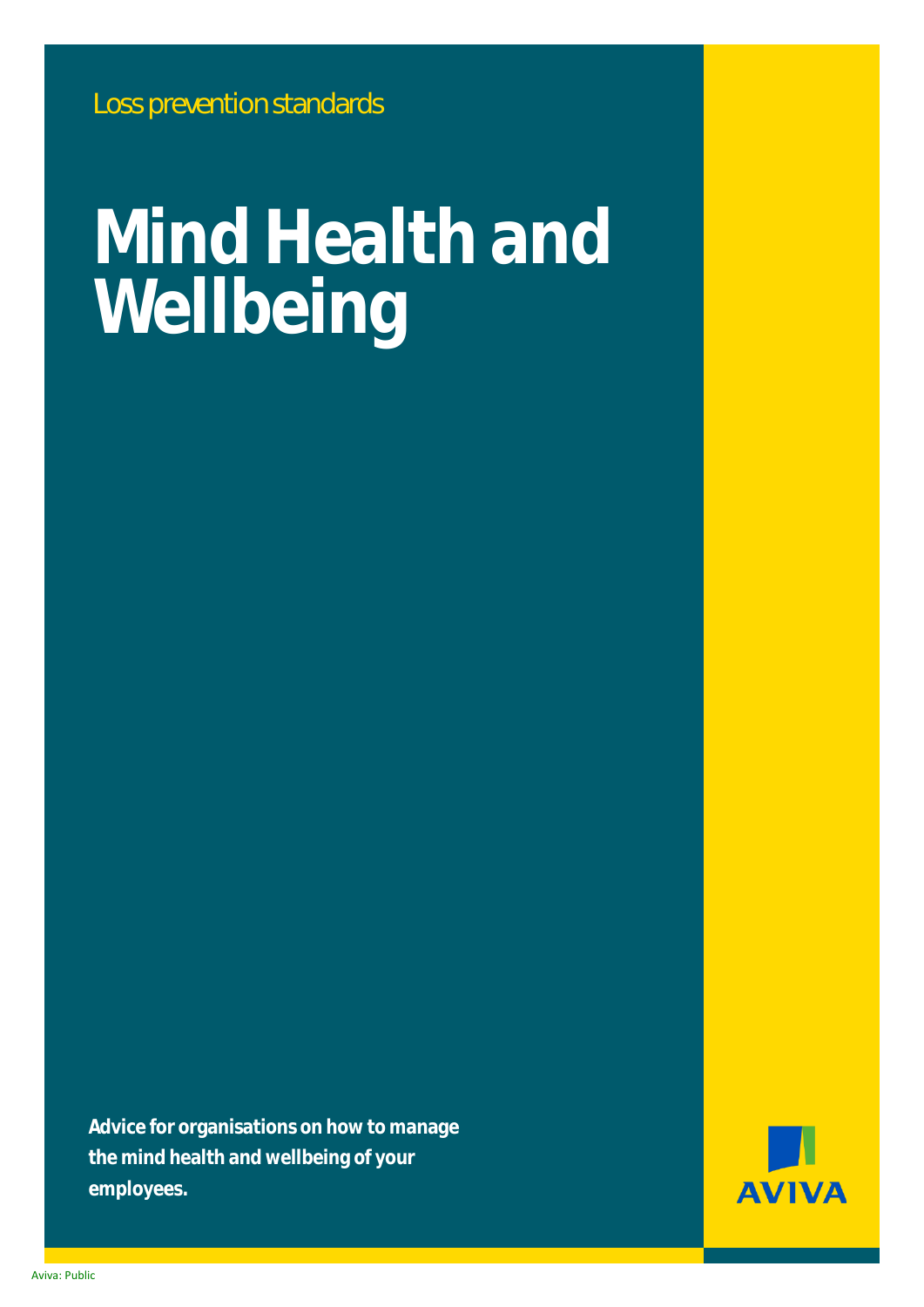Loss prevention standards

# **Mind Health and Wellbeing**

**Advice for organisations on how to manage the mind health and wellbeing of your employees.**



Aviva: Public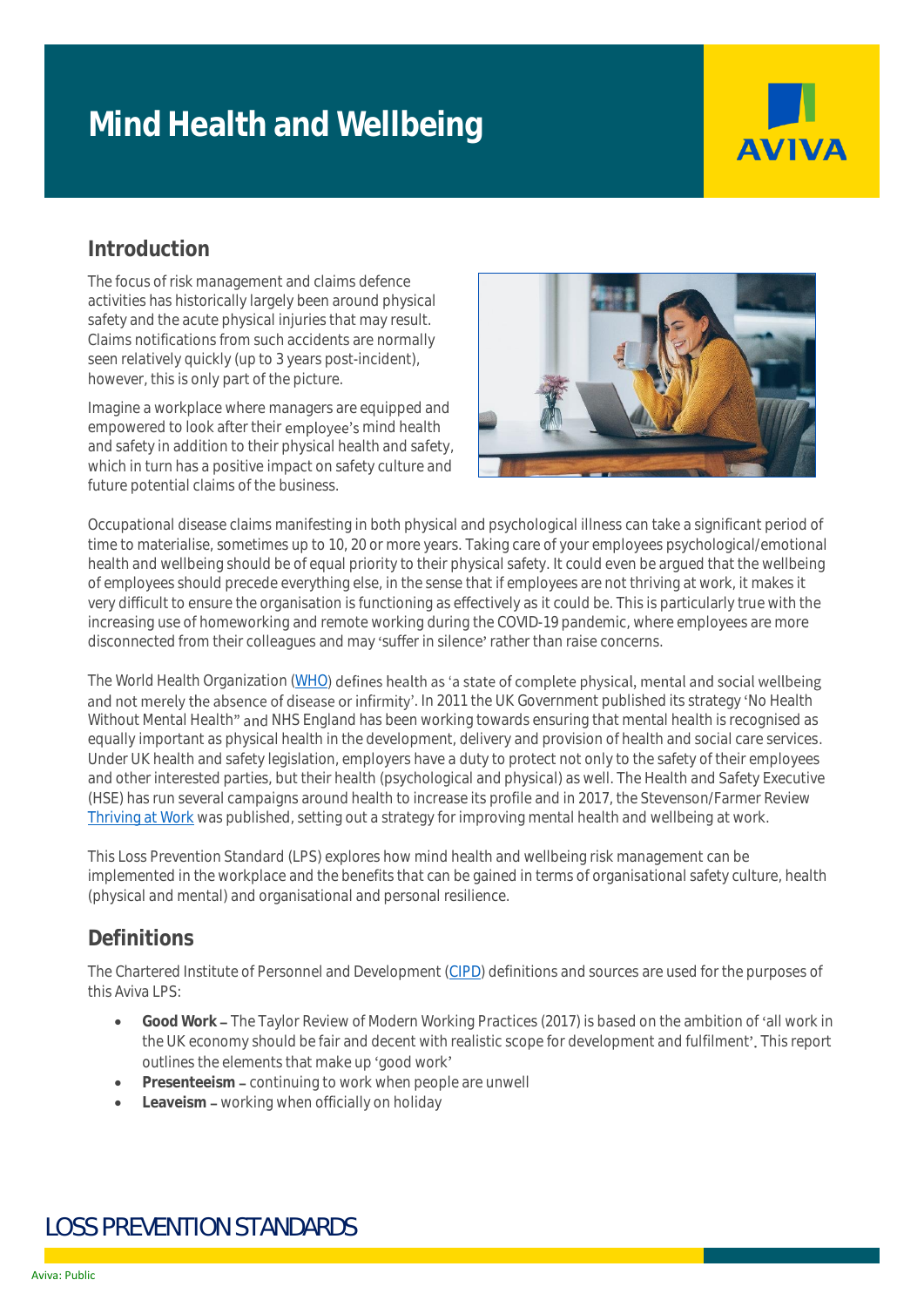# **Mind Health and Wellbeing**



# **Introduction**

The focus of risk management and claims defence activities has historically largely been around physical safety and the acute physical injuries that may result. Claims notifications from such accidents are normally seen relatively quickly (up to 3 years post-incident), however, this is only part of the picture.

Imagine a workplace where managers are equipped and empowered to look after their employee's mind health and safety in addition to their physical health and safety, which in turn has a positive impact on safety culture and future potential claims of the business.



Occupational disease claims manifesting in both physical and psychological illness can take a significant period of time to materialise, sometimes up to 10, 20 or more years. Taking care of your employees psychological/emotional health and wellbeing should be of equal priority to their physical safety. It could even be argued that the wellbeing of employees should precede everything else, in the sense that if employees are not thriving at work, it makes it very difficult to ensure the organisation is functioning as effectively as it could be. This is particularly true with the increasing use of homeworking and remote working during the COVID-19 pandemic, where employees are more disconnected from their colleagues and may 'suffer in silence' rather than raise concerns.

The World Health Organization [\(WHO](https://www.who.int/about/who-we-are/constitution)) defines health as 'a state of complete physical, mental and social wellbeing and not merely the absence of disease or infirmity'. In 2011 the UK Government published its strategy 'No Health Without Mental Health" and NHS England has been working towards ensuring that mental health is recognised as equally important as physical health in the development, delivery and provision of health and social care services. Under UK health and safety legislation, employers have a duty to protect not only to the safety of their employees and other interested parties, but their health (psychological and physical) as well. The Health and Safety Executive (HSE) has run several campaigns around health to increase its profile and in 2017, the Stevenson/Farmer Review [Thriving at Work](https://www.gov.uk/government/publications/thriving-at-work-a-review-of-mental-health-and-employers) was published, setting out a strategy for improving mental health and wellbeing at work.

This Loss Prevention Standard (LPS) explores how mind health and wellbeing risk management can be implemented in the workplace and the benefits that can be gained in terms of organisational safety culture, health (physical and mental) and organisational and personal resilience.

# **Definitions**

The Chartered Institute of Personnel and Development [\(CIPD\)](https://www.cipd.co.uk/) definitions and sources are used for the purposes of this Aviva LPS:

- Good Work The Taylor Review of Modern Working Practices (2017) is based on the ambition of 'all work in the UK economy should be fair and decent with realistic scope for development and fulfilment'. This report outlines the elements that make up 'good work'
- Presenteeism continuing to work when people are unwell
- Leaveism working when officially on holiday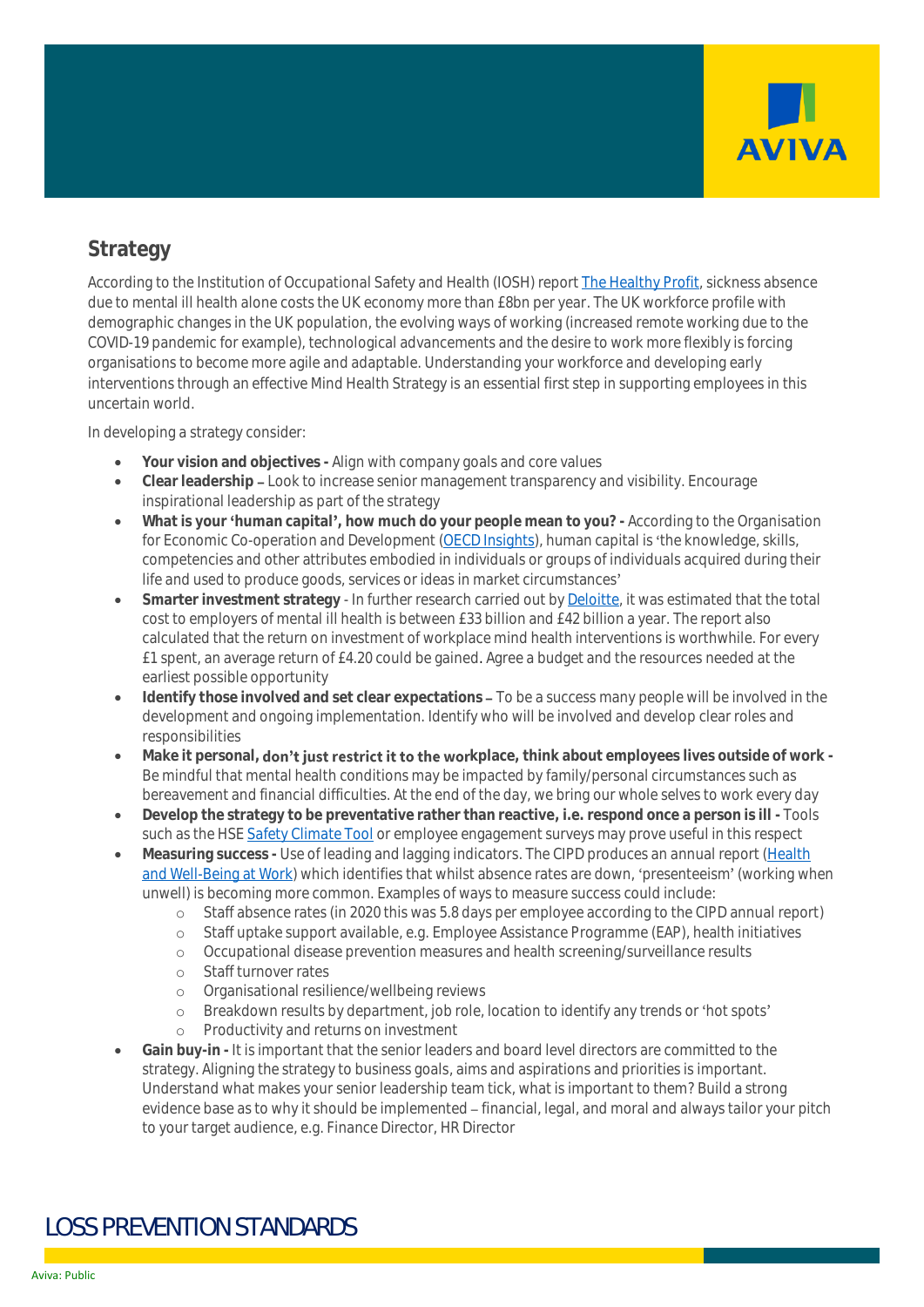

# **Strategy**

According to the Institution of Occupational Safety and Health (IOSH) report [The Healthy Profit,](https://iosh.com/more/iosh-means-business/healthy-profit/) sickness absence due to mental ill health alone costs the UK economy more than £8bn per year. The UK workforce profile with demographic changes in the UK population, the evolving ways of working (increased remote working due to the COVID-19 pandemic for example), technological advancements and the desire to work more flexibly is forcing organisations to become more agile and adaptable. Understanding your workforce and developing early interventions through an effective Mind Health Strategy is an essential first step in supporting employees in this uncertain world.

In developing a strategy consider:

- **Your vision and objectives -** Align with company goals and core values
- **Clear leadership** Look to increase senior management transparency and visibility. Encourage inspirational leadership as part of the strategy
- What is your 'human capital', how much do your people mean to you? According to the Organisation for Economic Co-operation and Development (OECD [Insights\)](https://www.oecd.org/insights/37967294.pdf), human capital is the knowledge, skills, competencies and other attributes embodied in individuals or groups of individuals acquired during their life and used to produce goods, services or ideas in market circumstances'
- **Smarter investment strategy** In further research carried out by [Deloitte,](https://www2.deloitte.com/uk/en/pages/public-sector/articles/mental-health-employers-review.html) it was estimated that the total cost to employers of mental ill health is between £33 billion and £42 billion a year. The report also calculated that the return on investment of workplace mind health interventions is worthwhile. For every £1 spent, an average return of £4.20 could be gained. Agree a budget and the resources needed at the earliest possible opportunity
- Identify those involved and set clear expectations To be a success many people will be involved in the development and ongoing implementation. Identify who will be involved and develop clear roles and responsibilities
- Make it personal, **don't just restrict it to the wor**kplace, think about employees lives outside of work -Be mindful that mental health conditions may be impacted by family/personal circumstances such as bereavement and financial difficulties. At the end of the day, we bring our whole selves to work every day
- **Develop the strategy to be preventative rather than reactive, i.e. respond once a person is ill -** Tools such as the HSE [Safety Climate Tool](https://books.hse.gov.uk/bookstore.asp?FO=1356943&Action=Book&ProductID=7005202&From=SearchResults) or employee engagement surveys may prove useful in this respect
- **Measuring success -** Use of leading and lagging indicators. The CIPD produces an annual report [\(Health](https://www.cipd.co.uk/Images/health-and-well-being-2020-report_tcm18-73967.pdf)  [and Well-Being at Work\)](https://www.cipd.co.uk/Images/health-and-well-being-2020-report_tcm18-73967.pdf) which identifies that whilst absence rates are down, 'presenteeism' (working when unwell) is becoming more common. Examples of ways to measure success could include:
	- o Staff absence rates (in 2020 this was 5.8 days per employee according to the CIPD annual report)
	- o Staff uptake support available, e.g. Employee Assistance Programme (EAP), health initiatives
	- o Occupational disease prevention measures and health screening/surveillance results
	- o Staff turnover rates
	- o Organisational resilience/wellbeing reviews
	- o Breakdown results by department, job role, location to identify any trends or 'hot spots'
	- o Productivity and returns on investment
- **Gain buy-in -** It is important that the senior leaders and board level directors are committed to the strategy. Aligning the strategy to business goals, aims and aspirations and priorities is important. Understand what makes your senior leadership team tick, what is important to them? Build a strong evidence base as to why it should be implemented - financial, legal, and moral and always tailor your pitch to your target audience, e.g. Finance Director, HR Director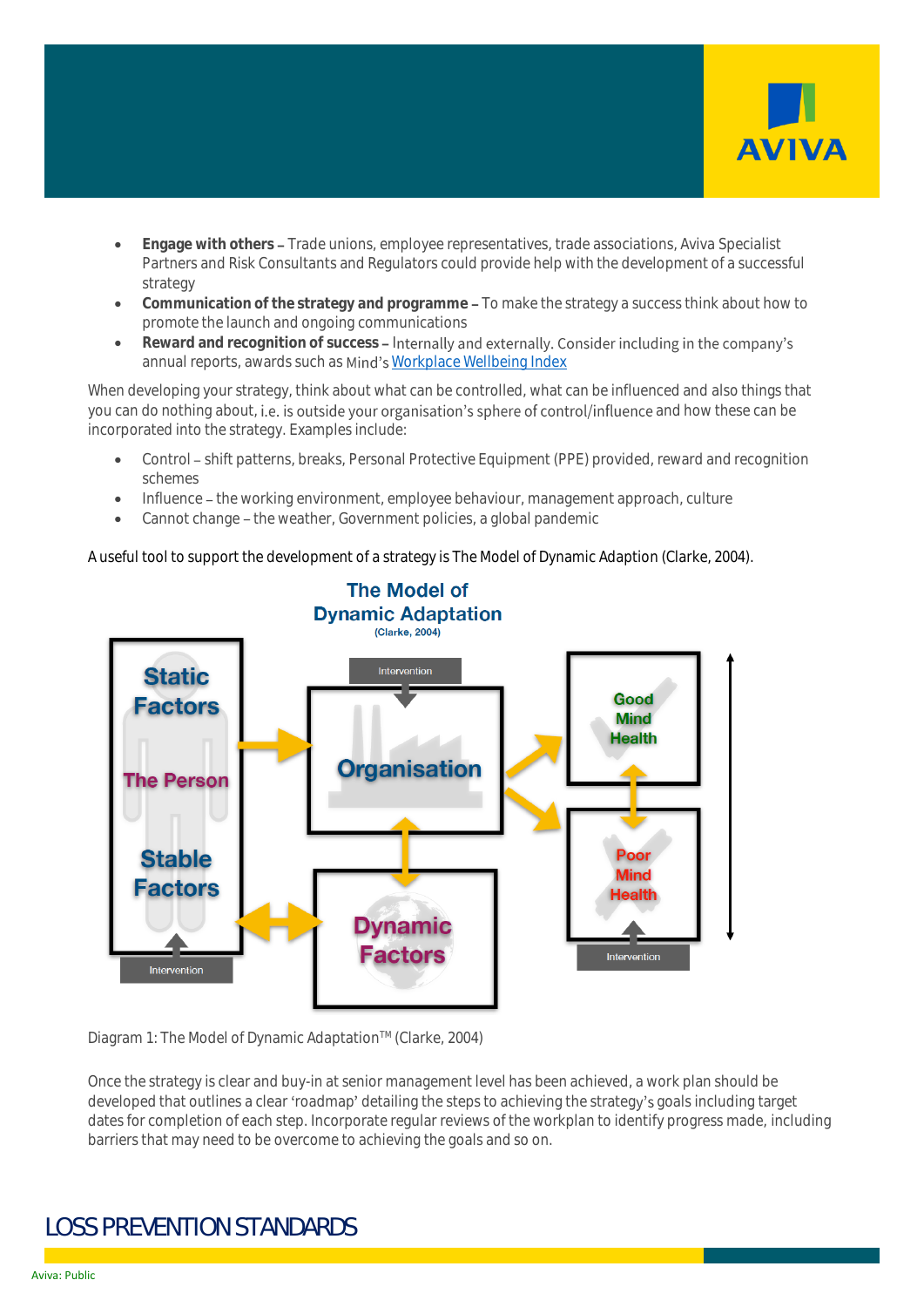

- Engage with others Trade unions, employee representatives, trade associations, Aviva Specialist Partners and Risk Consultants and Regulators could provide help with the development of a successful strategy
- **Communication of the strategy and programme** To make the strategy a success think about how to promote the launch and ongoing communications
- Reward and recognition of success Internally and externally. Consider including in the company's annual reports, awards such as Mind's [Workplace Wellbeing Index](https://www.mind.org.uk/workplace/workplace-wellbeing-index/)

When developing your strategy, think about what can be controlled, what can be influenced and also things that you can do nothing about, i.e. is outside your organisation's sphere of control/influence and how these can be incorporated into the strategy. Examples include:

- Control shift patterns, breaks, Personal Protective Equipment (PPE) provided, reward and recognition schemes
- Influence the working environment, employee behaviour, management approach, culture
- Cannot change the weather, Government policies, a global pandemic

A useful tool to support the development of a strategy is The Model of Dynamic Adaption (Clarke, 2004).



Diagram 1: The Model of Dynamic Adaptation™ (Clarke, 2004)

Once the strategy is clear and buy-in at senior management level has been achieved, a work plan should be developed that outlines a clear 'roadmap' detailing the steps to achieving the strategy's goals including target dates for completion of each step. Incorporate regular reviews of the workplan to identify progress made, including barriers that may need to be overcome to achieving the goals and so on.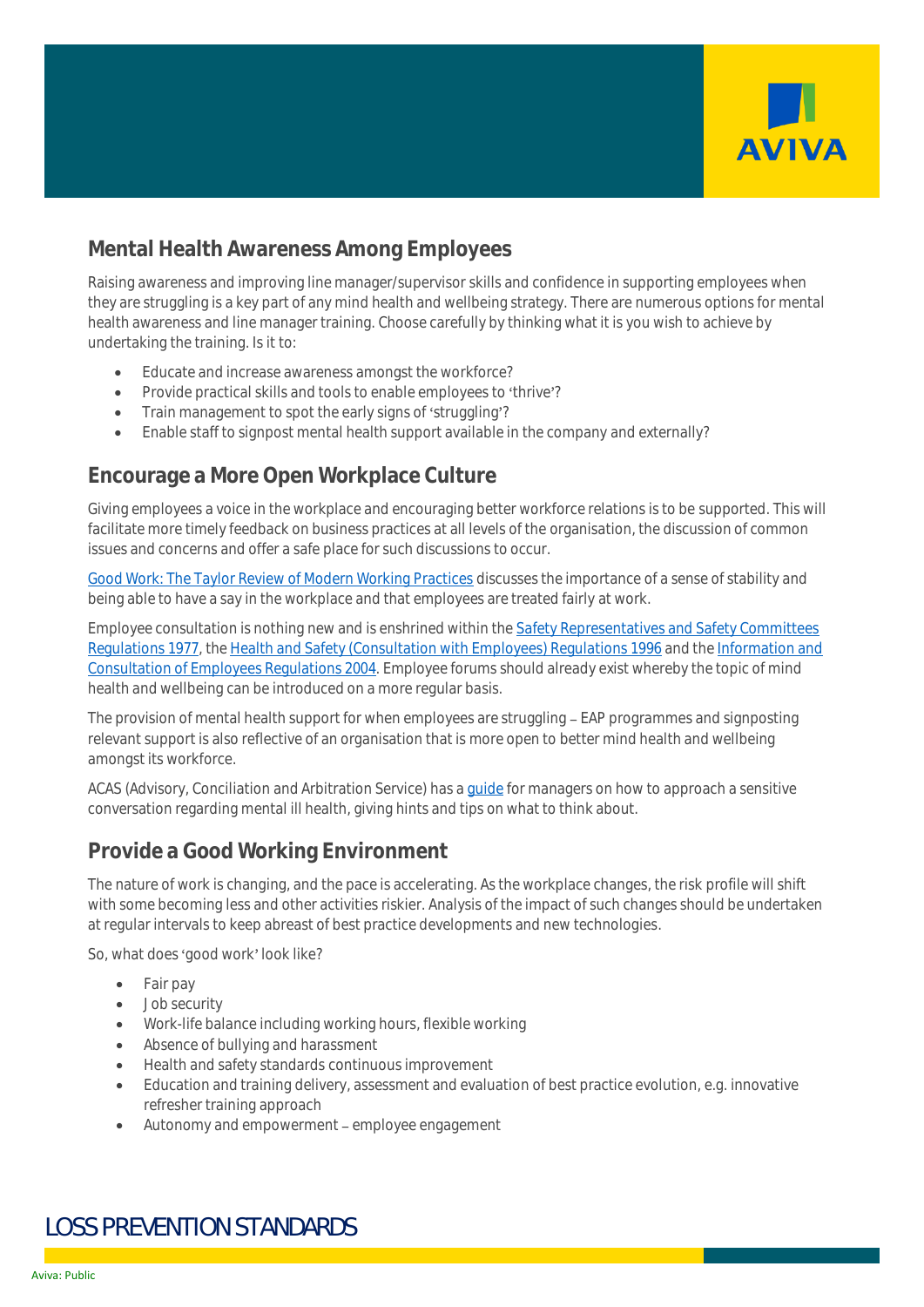

# **Mental Health Awareness Among Employees**

Raising awareness and improving line manager/supervisor skills and confidence in supporting employees when they are struggling is a key part of any mind health and wellbeing strategy. There are numerous options for mental health awareness and line manager training. Choose carefully by thinking what it is you wish to achieve by undertaking the training. Is it to:

- Educate and increase awareness amongst the workforce?
- Provide practical skills and tools to enable employees to 'thrive'?
- Train management to spot the early signs of 'struggling'?
- Enable staff to signpost mental health support available in the company and externally?

# **Encourage a More Open Workplace Culture**

Giving employees a voice in the workplace and encouraging better workforce relations is to be supported. This will facilitate more timely feedback on business practices at all levels of the organisation, the discussion of common issues and concerns and offer a safe place for such discussions to occur.

[Good Work: The Taylor Review of Modern Working Practices](https://www.gov.uk/government/publications/good-work-the-taylor-review-of-modern-working-practices) discusses the importance of a sense of stability and being able to have a say in the workplace and that employees are treated fairly at work.

Employee consultation is nothing new and is enshrined within the [Safety Representatives and Safety Committees](https://www.legislation.gov.uk/uksi/1977/500/contents/made)  [Regulations 1977,](https://www.legislation.gov.uk/uksi/1977/500/contents/made) th[e Health and Safety \(Consultation with Employees\) Regulations 1996](https://www.legislation.gov.uk/uksi/1996/1513/contents/made) and th[e Information and](https://www.legislation.gov.uk/uksi/2004/3426/contents/made)  [Consultation of Employees Regulations 2004.](https://www.legislation.gov.uk/uksi/2004/3426/contents/made) Employee forums should already exist whereby the topic of mind health and wellbeing can be introduced on a more regular basis.

The provision of mental health support for when employees are struggling – EAP programmes and signposting relevant support is also reflective of an organisation that is more open to better mind health and wellbeing amongst its workforce.

ACAS (Advisory, Conciliation and Arbitration Service) has [a guide](https://archive.acas.org.uk/media/4931/Approaching-a-sensitive-conversation-regarding-mental-ill-health/pdf/Tips_to_approach_having_sensitive_conversations_2018.pdf) for managers on how to approach a sensitive conversation regarding mental ill health, giving hints and tips on what to think about.

# **Provide a Good Working Environment**

The nature of work is changing, and the pace is accelerating. As the workplace changes, the risk profile will shift with some becoming less and other activities riskier. Analysis of the impact of such changes should be undertaken at regular intervals to keep abreast of best practice developments and new technologies.

So, what does 'good work' look like?

- Fair pay
- Job security
- Work-life balance including working hours, flexible working
- Absence of bullying and harassment
- Health and safety standards continuous improvement
- Education and training delivery, assessment and evaluation of best practice evolution, e.g. innovative refresher training approach
- Autonomy and empowerment employee engagement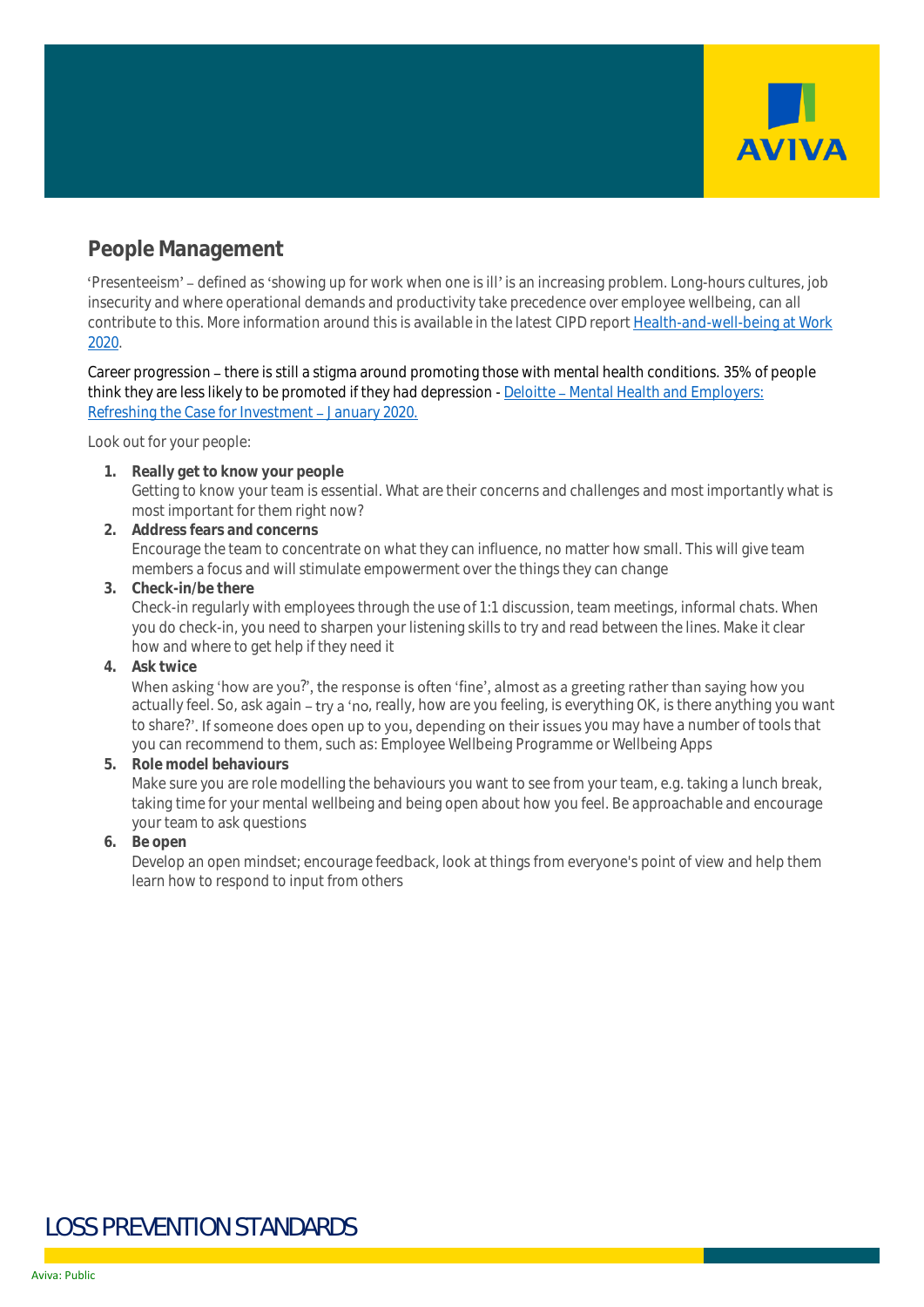

# **People Management**

'Presenteeism' – defined as 'showing up for work when one is ill' is an increasing problem. Long-hours cultures, job insecurity and where operational demands and productivity take precedence over employee wellbeing, can all contribute to this. More information around this is available in the latest CIPD report [Health-and-well-being](https://www.cipd.co.uk/Images/health-and-well-being-2020-report_tcm18-73967.pdf) at Work [2020.](https://www.cipd.co.uk/Images/health-and-well-being-2020-report_tcm18-73967.pdf)

Career progression – there is still a stigma around promoting those with mental health conditions. 35% of people think they are less likely to be promoted if they had depression - Deloitte – Mental Health and Employers: Refreshing the Case for Investment - January 2020.

Look out for your people:

- **1. Really get to know your people**  Getting to know your team is essential. What are their concerns and challenges and most importantly what is most important for them right now?
- **2. Address fears and concerns**  Encourage the team to concentrate on what they can influence, no matter how small. This will give team members a focus and will stimulate empowerment over the things they can change
- **3. Check-in/be there**  Check-in regularly with employees through the use of 1:1 discussion, team meetings, informal chats. When you do check-in, you need to sharpen your listening skills to try and read between the lines. Make it clear how and where to get help if they need it
- **4. Ask twice**

When asking 'how are you?', the response is often 'fine', almost as a greeting rather than saying how you actually feel. So, ask again - try a 'no, really, how are you feeling, is everything OK, is there anything you want to share?'. If someone does open up to you, depending on their issues you may have a number of tools that you can recommend to them, such as: Employee Wellbeing Programme or Wellbeing Apps

**5. Role model behaviours** 

Make sure you are role modelling the behaviours you want to see from your team, e.g. taking a lunch break, taking time for your mental wellbeing and being open about how you feel. Be approachable and encourage your team to ask questions

**6. Be open**

Develop an open mindset; encourage feedback, look at things from everyone's point of view and help them learn how to respond to input from others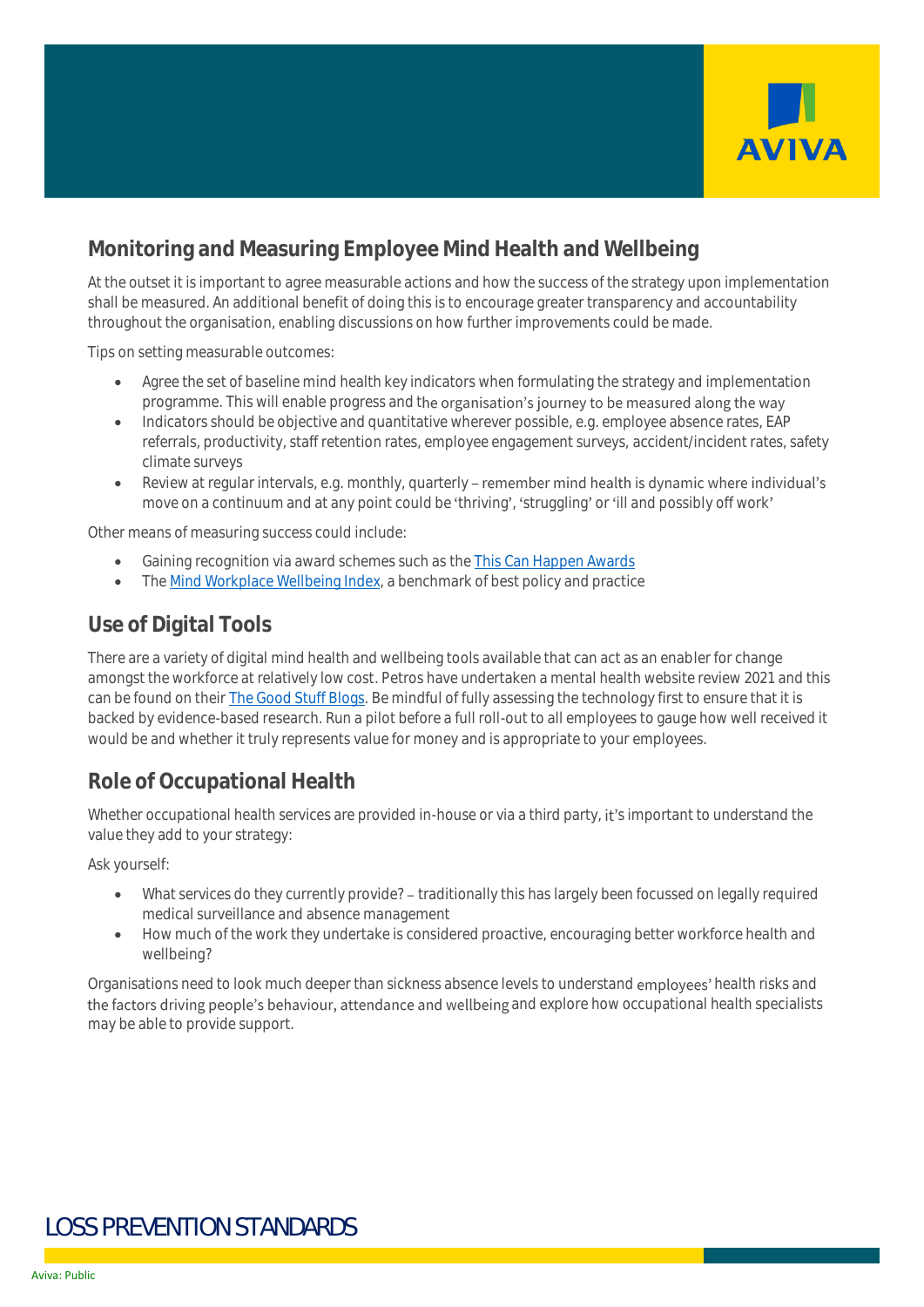

# **Monitoring and Measuring Employee Mind Health and Wellbeing**

At the outset it is important to agree measurable actions and how the success of the strategy upon implementation shall be measured. An additional benefit of doing this is to encourage greater transparency and accountability throughout the organisation, enabling discussions on how further improvements could be made.

Tips on setting measurable outcomes:

- Agree the set of baseline mind health key indicators when formulating the strategy and implementation programme. This will enable progress and the organisation's journey to be measured along the way
- Indicators should be objective and quantitative wherever possible, e.g. employee absence rates, EAP referrals, productivity, staff retention rates, employee engagement surveys, accident/incident rates, safety climate surveys
- Review at regular intervals, e.g. monthly, quarterly remember mind health is dynamic where individual's move on a continuum and at any point could be 'thriving', 'struggling' or 'ill and possibly off work'

Other means of measuring success could include:

- Gaining recognition via award schemes such as th[e This Can Happen Awards](https://www.thiscanhappenglobal.com/)
- Th[e Mind Workplace Wellbeing Index,](https://www.mind.org.uk/workplace/workplace-wellbeing-index/) a benchmark of best policy and practice

#### **Use of Digital Tools**

There are a variety of digital mind health and wellbeing tools available that can act as an enabler for change amongst the workforce at relatively low cost. Petros have undertaken a mental health website review 2021 and this can be found on thei[r The Good Stuff Blogs.](https://petros.org.uk/blog) Be mindful of fully assessing the technology first to ensure that it is backed by evidence-based research. Run a pilot before a full roll-out to all employees to gauge how well received it would be and whether it truly represents value for money and is appropriate to your employees.

# **Role of Occupational Health**

Whether occupational health services are provided in-house or via a third party, it's important to understand the value they add to your strategy:

Ask yourself:

- What services do they currently provide? traditionally this has largely been focussed on legally required medical surveillance and absence management
- How much of the work they undertake is considered proactive, encouraging better workforce health and wellbeing?

Organisations need to look much deeper than sickness absence levels to understand employees' health risks and the factors driving people's behaviour, attendance and wellbeing and explore how occupational health specialists may be able to provide support.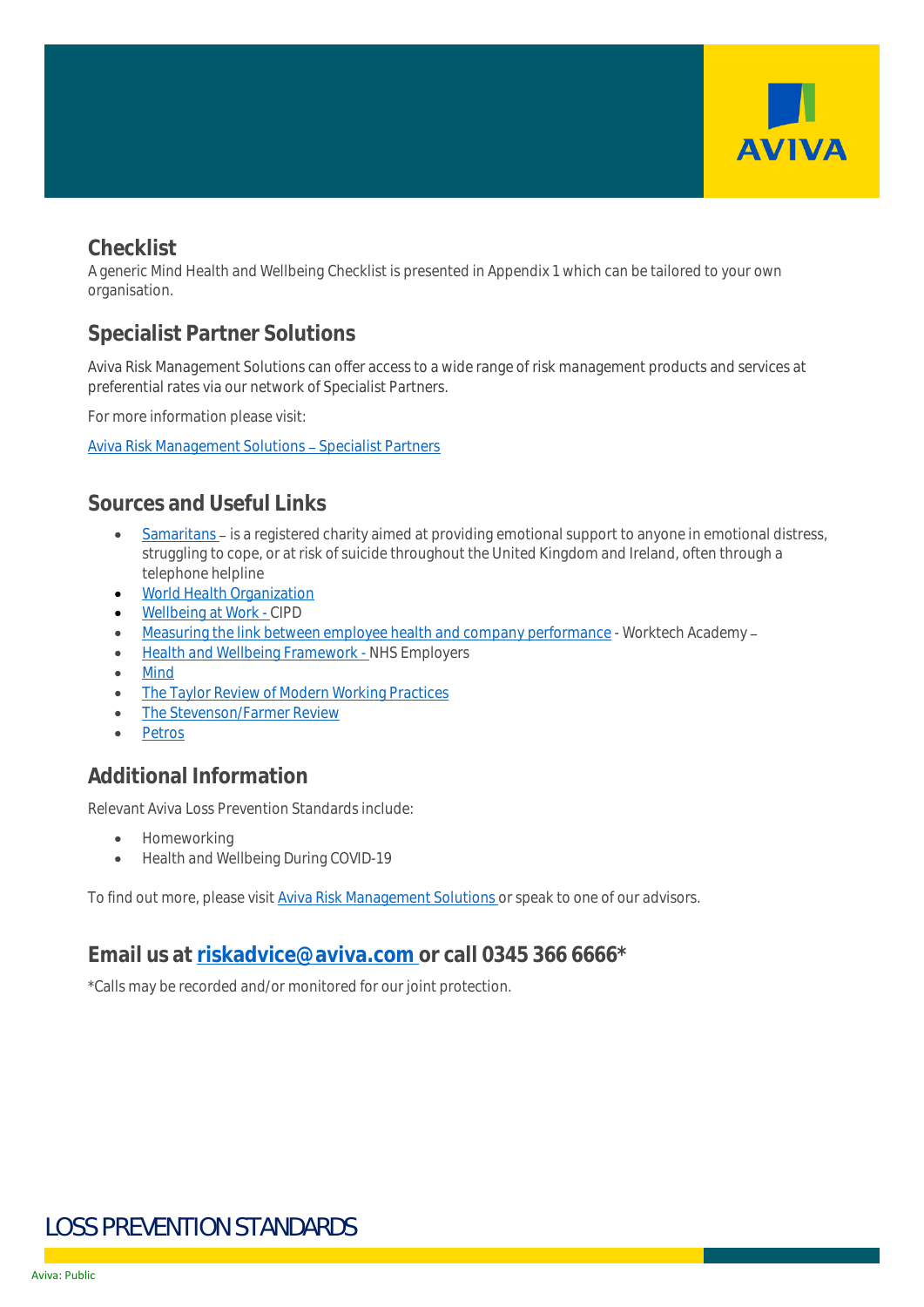

#### **Checklist**

A generic Mind Health and Wellbeing Checklist is presented in Appendix 1 which can be tailored to your own organisation.

# **Specialist Partner Solutions**

Aviva Risk Management Solutions can offer access to a wide range of risk management products and services at preferential rates via our network of Specialist Partners.

For more information please visit:

Aviva Risk Management Solutions - Specialist Partners

#### **Sources and Useful Links**

- [Samaritans](https://www.samaritans.org/) is a registered charity aimed at providing emotional support to anyone in emotional distress, struggling to cope, or at risk of suicide throughout the United Kingdom and Ireland, often through a telephone helpline
- [World Health](https://www.who.int/) [Organization](https://www.who.int/)
- [Wellbeing at Work](https://www.cipd.co.uk/knowledge/culture/well-being/factsheet) CIPD
- [Measuring the link between employee health and company performance](https://www.worktechacademy.com/measuring-link-between-employee-health-company-performance/) Worktech Academy -
- [Health and Wellbeing Framework](https://www.nhsemployers.org/retention-and-staff-experience/health-and-wellbeing/taking-a-targeted-approach/taking-a-targeted-approach/national-frameworks) NHS Employers
- [Mind](https://www.mind.org.uk/)
- [The Taylor Review of Modern Working Practices](https://assets.publishing.service.gov.uk/government/uploads/system/uploads/attachment_data/file/627671/good-work-taylor-review-modern-working-practices-rg.pdf)
- [The Stevenson/Farmer Review](https://assets.publishing.service.gov.uk/government/uploads/system/uploads/attachment_data/file/658145/thriving-at-work-stevenson-farmer-review.pdf)
- [Petros](https://petros.org.uk/)

# **Additional Information**

Relevant Aviva Loss Prevention Standards include:

- Homeworking
- Health and Wellbeing During COVID-19

To find out more, please visit [Aviva Risk Management Solutions](https://www.aviva.co.uk/risksolutions/) or speak to one of our advisors.

#### **Email us at [riskadvice@aviva.com](mailto:riskadvice@aviva.com) or call 0345 366 6666\***

\*Calls may be recorded and/or monitored for our joint protection.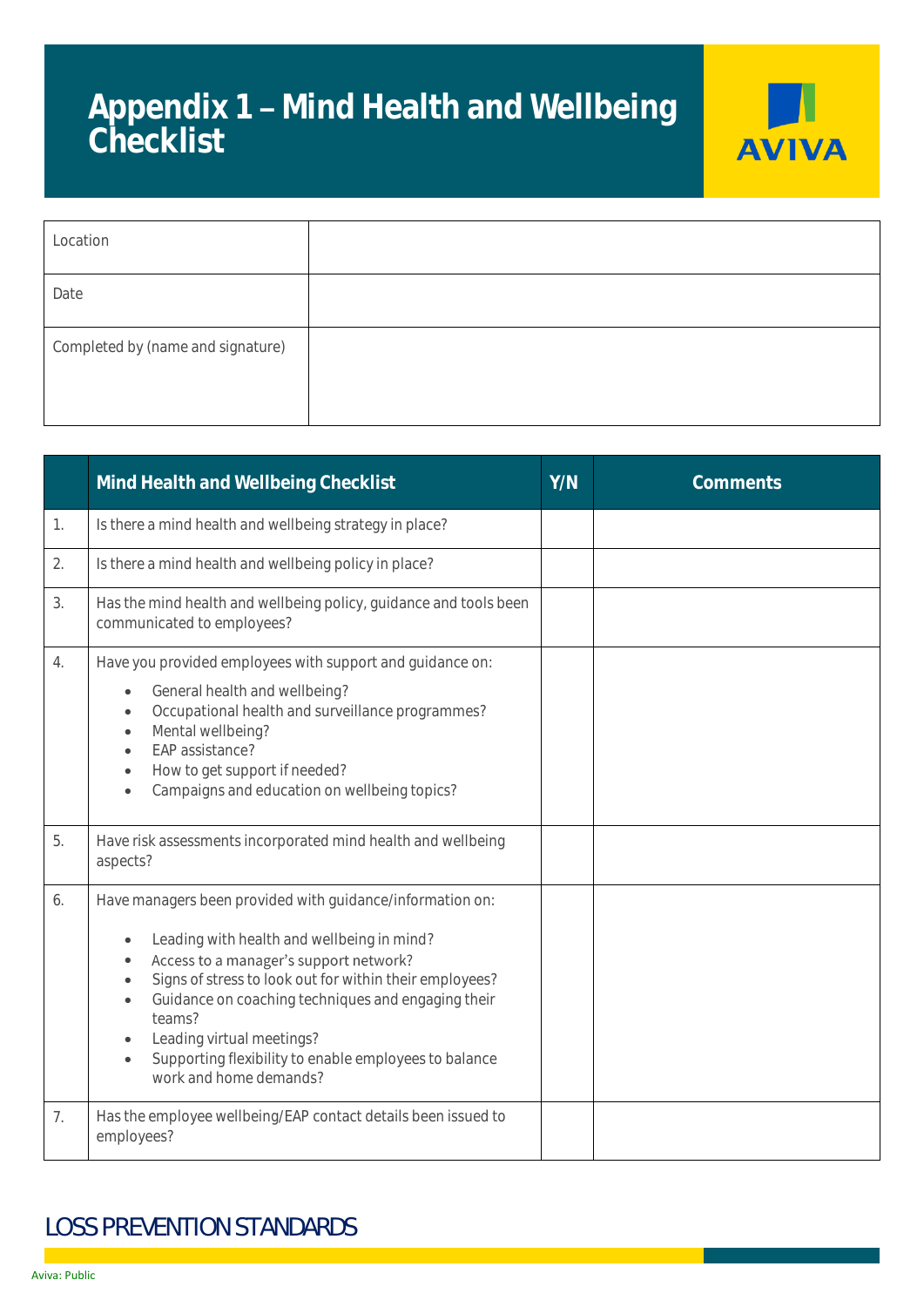# Appendix 1 - Mind Health and Wellbeing **Checklist**



| Location                          |  |
|-----------------------------------|--|
| Date                              |  |
| Completed by (name and signature) |  |

|    | Mind Health and Wellbeing Checklist                                                                                                                                                                                                                                                                                                                                                                                                                                        | Y/N | Comments |
|----|----------------------------------------------------------------------------------------------------------------------------------------------------------------------------------------------------------------------------------------------------------------------------------------------------------------------------------------------------------------------------------------------------------------------------------------------------------------------------|-----|----------|
| 1. | Is there a mind health and wellbeing strategy in place?                                                                                                                                                                                                                                                                                                                                                                                                                    |     |          |
| 2. | Is there a mind health and wellbeing policy in place?                                                                                                                                                                                                                                                                                                                                                                                                                      |     |          |
| 3. | Has the mind health and wellbeing policy, guidance and tools been<br>communicated to employees?                                                                                                                                                                                                                                                                                                                                                                            |     |          |
| 4. | Have you provided employees with support and guidance on:<br>General health and wellbeing?<br>$\bullet$<br>Occupational health and surveillance programmes?<br>$\bullet$<br>Mental wellbeing?<br>$\bullet$<br>EAP assistance?<br>$\bullet$<br>How to get support if needed?<br>$\bullet$<br>Campaigns and education on wellbeing topics?<br>$\bullet$                                                                                                                      |     |          |
| 5. | Have risk assessments incorporated mind health and wellbeing<br>aspects?                                                                                                                                                                                                                                                                                                                                                                                                   |     |          |
| 6. | Have managers been provided with guidance/information on:<br>Leading with health and wellbeing in mind?<br>$\bullet$<br>Access to a manager's support network?<br>$\bullet$<br>Signs of stress to look out for within their employees?<br>$\bullet$<br>Guidance on coaching techniques and engaging their<br>$\bullet$<br>teams?<br>Leading virtual meetings?<br>$\bullet$<br>Supporting flexibility to enable employees to balance<br>$\bullet$<br>work and home demands? |     |          |
| 7. | Has the employee wellbeing/EAP contact details been issued to<br>employees?                                                                                                                                                                                                                                                                                                                                                                                                |     |          |